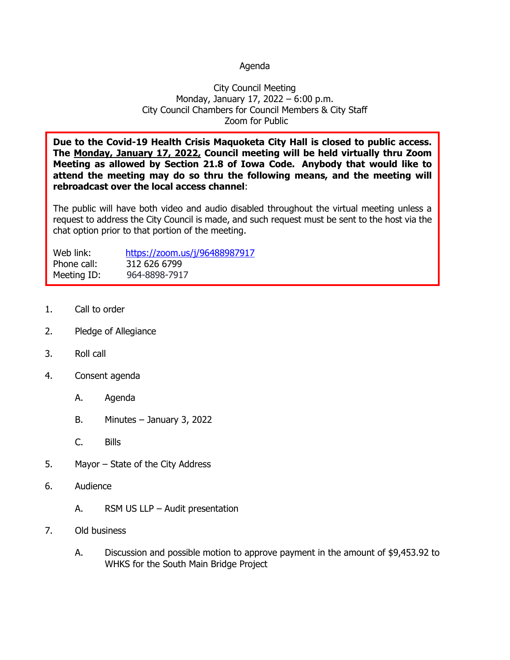## Agenda

## City Council Meeting Monday, January 17, 2022 – 6:00 p.m. City Council Chambers for Council Members & City Staff Zoom for Public

**Due to the Covid-19 Health Crisis Maquoketa City Hall is closed to public access. The Monday, January 17, 2022, Council meeting will be held virtually thru Zoom Meeting as allowed by Section 21.8 of Iowa Code. Anybody that would like to attend the meeting may do so thru the following means, and the meeting will rebroadcast over the local access channel**:

The public will have both video and audio disabled throughout the virtual meeting unless a request to address the City Council is made, and such request must be sent to the host via the chat option prior to that portion of the meeting.

| Web link:   | https://zoom.us/j/96488987917 |
|-------------|-------------------------------|
| Phone call: | 312 626 6799                  |
| Meeting ID: | 964-8898-7917                 |

- 1. Call to order
- 2. Pledge of Allegiance
- 3. Roll call
- 4. Consent agenda
	- A. Agenda
	- B. Minutes January 3, 2022
	- C. Bills
- 5. Mayor State of the City Address
- 6. Audience
	- A. RSM US LLP Audit presentation
- 7. Old business
	- A. Discussion and possible motion to approve payment in the amount of \$9,453.92 to WHKS for the South Main Bridge Project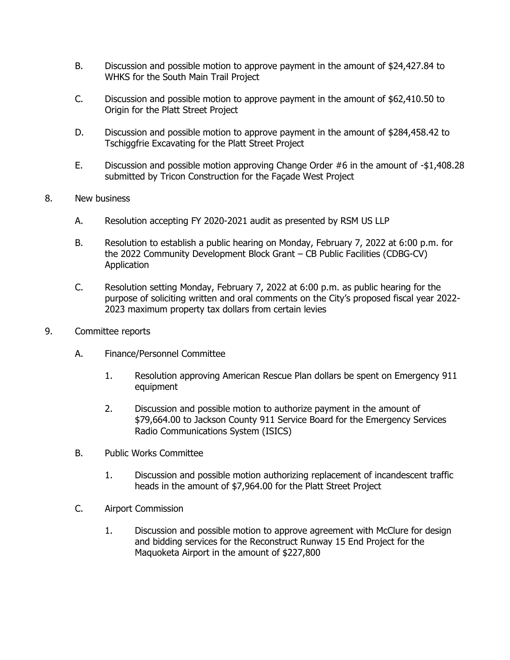- B. Discussion and possible motion to approve payment in the amount of \$24,427.84 to WHKS for the South Main Trail Project
- C. Discussion and possible motion to approve payment in the amount of \$62,410.50 to Origin for the Platt Street Project
- D. Discussion and possible motion to approve payment in the amount of \$284,458.42 to Tschiggfrie Excavating for the Platt Street Project
- E. Discussion and possible motion approving Change Order #6 in the amount of -\$1,408.28 submitted by Tricon Construction for the Façade West Project
- 8. New business
	- A. Resolution accepting FY 2020-2021 audit as presented by RSM US LLP
	- B. Resolution to establish a public hearing on Monday, February 7, 2022 at 6:00 p.m. for the 2022 Community Development Block Grant – CB Public Facilities (CDBG-CV) Application
	- C. Resolution setting Monday, February 7, 2022 at 6:00 p.m. as public hearing for the purpose of soliciting written and oral comments on the City's proposed fiscal year 2022- 2023 maximum property tax dollars from certain levies
- 9. Committee reports
	- A. Finance/Personnel Committee
		- 1. Resolution approving American Rescue Plan dollars be spent on Emergency 911 equipment
		- 2. Discussion and possible motion to authorize payment in the amount of \$79,664.00 to Jackson County 911 Service Board for the Emergency Services Radio Communications System (ISICS)
	- B. Public Works Committee
		- 1. Discussion and possible motion authorizing replacement of incandescent traffic heads in the amount of \$7,964.00 for the Platt Street Project
	- C. Airport Commission
		- 1. Discussion and possible motion to approve agreement with McClure for design and bidding services for the Reconstruct Runway 15 End Project for the Maquoketa Airport in the amount of \$227,800